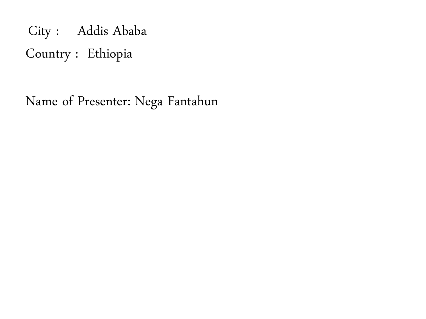City : Addis Ababa Country : Ethiopia

Name of Presenter: Nega Fantahun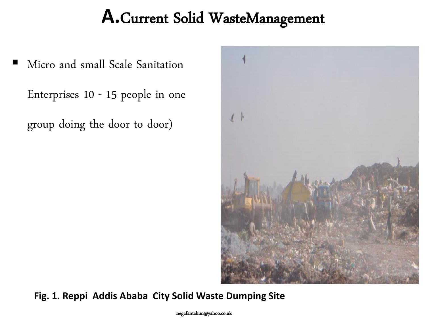# **A.**Current Solid WasteManagement

Micro and small Scale Sanitation

Enterprises 10 - 15 people in one

group doing the door to door)



**Fig. 1. Reppi Addis Ababa City Solid Waste Dumping Site**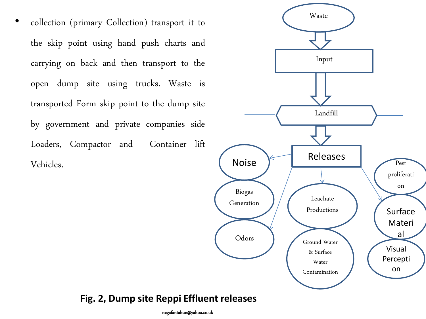• collection (primary Collection) transport it to the skip point using hand push charts and carrying on back and then transport to the open dump site using trucks. Waste is transported Form skip point to the dump site by government and private companies side Loaders, Compactor and Container lift Vehicles.



#### **Fig. 2, Dump site Reppi Effluent releases**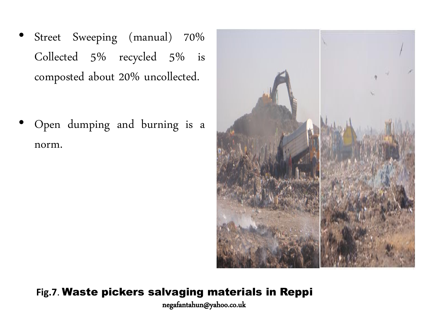Street Sweeping (manual) 70% Collected 5% recycled 5% is composted about 20% uncollected.

• Open dumping and burning is a norm.



### **Fig.7**. Waste pickers salvaging materials in Reppi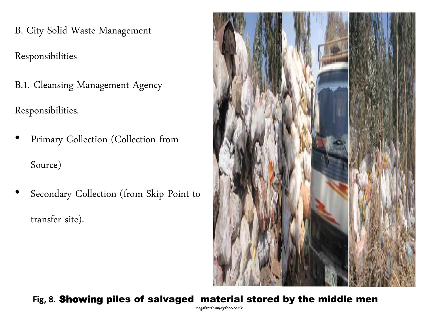B. City Solid Waste Management

Responsibilities

B.1. Cleansing Management Agency

Responsibilities.

- Primary Collection (Collection from Source)
- Secondary Collection (from Skip Point to transfer site).



### **Fig, 8.** Showing piles of salvaged material stored by the middle men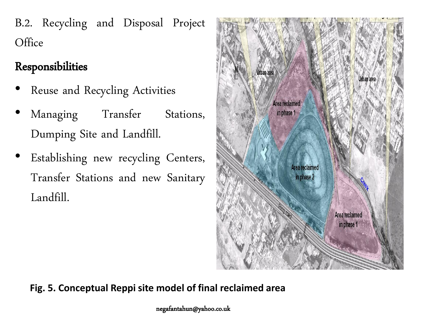B.2. Recycling and Disposal Project **Office** 

## Responsibilities

- Reuse and Recycling Activities
- Managing Transfer Stations, Dumping Site and Landfill.
- Establishing new recycling Centers, Transfer Stations and new Sanitary Landfill.



**Fig. 5. Conceptual Reppi site model of final reclaimed area**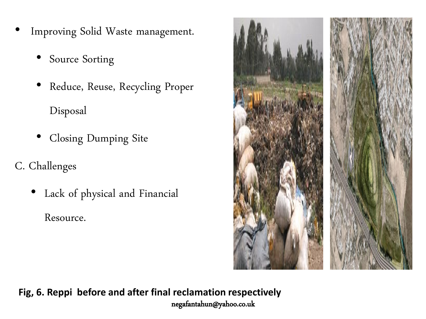- Improving Solid Waste management.
	- Source Sorting
	- Reduce, Reuse, Recycling Proper Disposal
	- Closing Dumping Site
- C. Challenges
	- Lack of physical and Financial

Resource.



**Fig, 6. Reppi before and after final reclamation respectively** negafantahun@yahoo.co.uk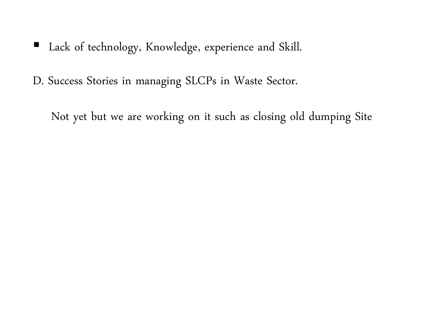- Lack of technology, Knowledge, experience and Skill.
- D. Success Stories in managing SLCPs in Waste Sector.

Not yet but we are working on it such as closing old dumping Site